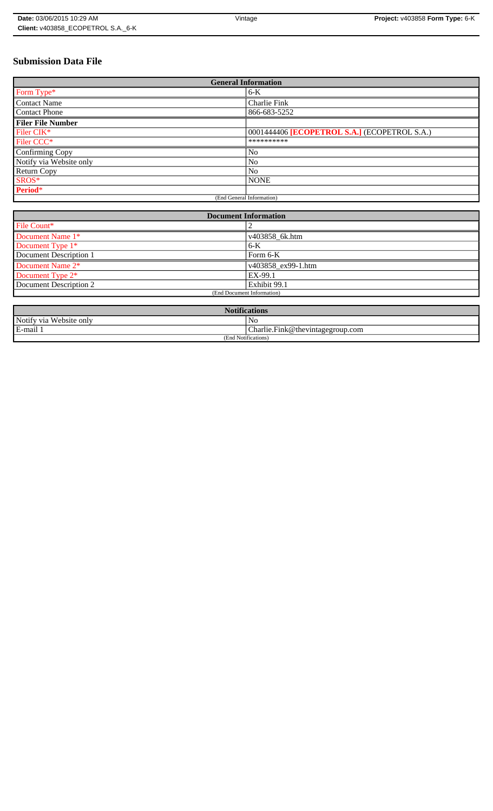# **Submission Data File**

| <b>General Information</b> |                                              |
|----------------------------|----------------------------------------------|
| Form Type*                 | 6-K                                          |
| <b>Contact Name</b>        | Charlie Fink                                 |
| <b>Contact Phone</b>       | 866-683-5252                                 |
| <b>Filer File Number</b>   |                                              |
| Filer CIK*                 | 0001444406 [ECOPETROL S.A.] (ECOPETROL S.A.) |
| Filer CCC <sup>*</sup>     | **********                                   |
| Confirming Copy            | N <sub>o</sub>                               |
| Notify via Website only    | N <sub>0</sub>                               |
| <b>Return Copy</b>         | N <sub>o</sub>                               |
| SROS*                      | <b>NONE</b>                                  |
| Period*                    |                                              |
| (End General Information)  |                                              |

| <b>Document Information</b> |                    |
|-----------------------------|--------------------|
| File Count*                 |                    |
| Document Name 1*            | v403858 6k.htm     |
| Document Type 1*            | $6-K$              |
| Document Description 1      | Form $6-K$         |
| Document Name 2*            | v403858 ex99-1.htm |
| Document Type 2*            | EX-99.1            |
| Document Description 2      | Exhibit 99.1       |
| (End Document Information)  |                    |
|                             |                    |

| <b>Notifications</b>    |                                  |
|-------------------------|----------------------------------|
| Notify via Website only | NC                               |
| E-mail 1                | Charlie.Fink@thevintagegroup.com |
| (End Notifications)     |                                  |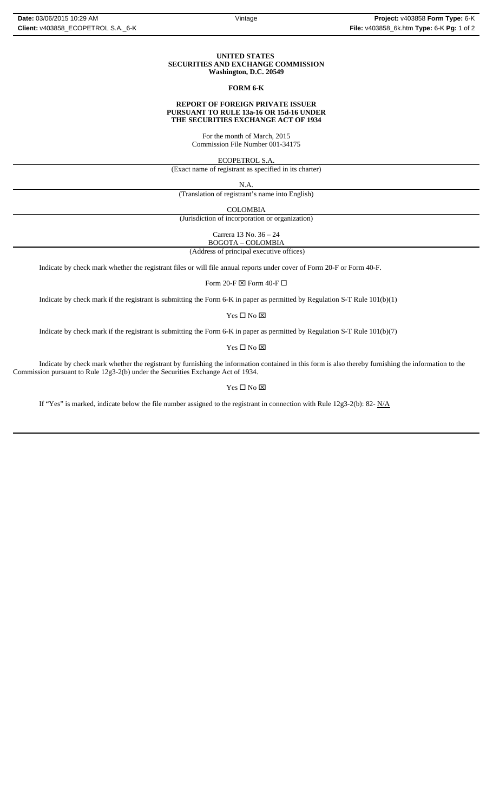#### **UNITED STATES SECURITIES AND EXCHANGE COMMISSION Washington, D.C. 20549**

#### **FORM 6-K**

#### **REPORT OF FOREIGN PRIVATE ISSUER PURSUANT TO RULE 13a-16 OR 15d-16 UNDER THE SECURITIES EXCHANGE ACT OF 1934**

For the month of March, 2015 Commission File Number 001-34175

ECOPETROL S.A.

(Exact name of registrant as specified in its charter)

N.A.

(Translation of registrant's name into English)

COLOMBIA

(Jurisdiction of incorporation or organization)

Carrera 13 No. 36 – 24

 (Address of principal executive offices) BOGOTA – COLOMBIA

Indicate by check mark whether the registrant files or will file annual reports under cover of Form 20-F or Form 40-F.

Form 20-F  $\boxtimes$  Form 40-F  $\Box$ 

Indicate by check mark if the registrant is submitting the Form 6-K in paper as permitted by Regulation S-T Rule 101(b)(1)

Yes $\square$  No  $\square$ 

Indicate by check mark if the registrant is submitting the Form 6-K in paper as permitted by Regulation S-T Rule 101(b)(7)

Yes □ No ⊠

Indicate by check mark whether the registrant by furnishing the information contained in this form is also thereby furnishing the information to the Commission pursuant to Rule 12g3-2(b) under the Securities Exchange Act of 1934.

 $\mathbf{Yes} \ \square \ \mathbf{No} \ \boxtimes$ 

If "Yes" is marked, indicate below the file number assigned to the registrant in connection with Rule  $12g3-2(b)$ : 82- N/A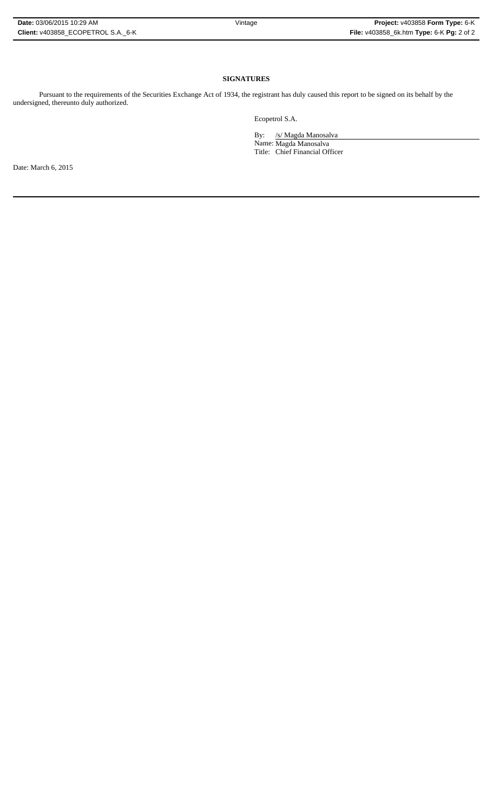### **SIGNATURES**

Pursuant to the requirements of the Securities Exchange Act of 1934, the registrant has duly caused this report to be signed on its behalf by the undersigned, thereunto duly authorized.

Ecopetrol S.A.

By: /s/ Magda Manosalva

Name: Magda Manosalva Title: Chief Financial Officer

Date: March 6, 2015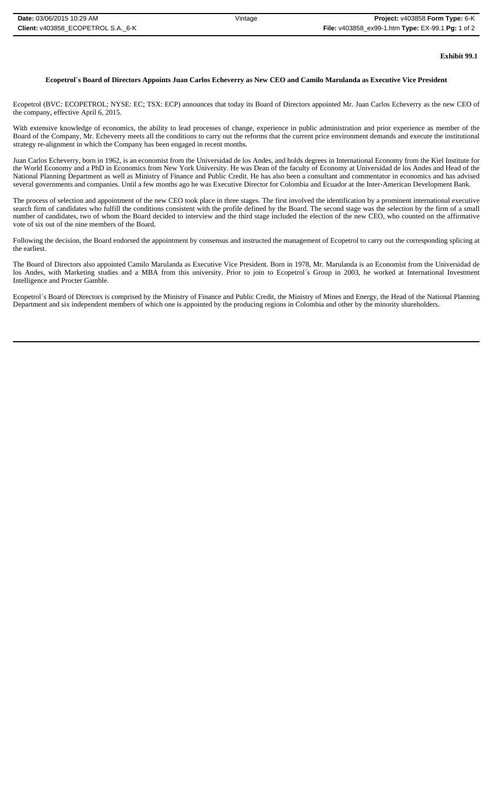## **Exhibit 99.1**

## **Ecopetrol´s Board of Directors Appoints Juan Carlos Echeverry as New CEO and Camilo Marulanda as Executive Vice President**

Ecopetrol (BVC: ECOPETROL; NYSE: EC; TSX: ECP) announces that today its Board of Directors appointed Mr. Juan Carlos Echeverry as the new CEO of the company, effective April 6, 2015.

With extensive knowledge of economics, the ability to lead processes of change, experience in public administration and prior experience as member of the Board of the Company, Mr. Echeverry meets all the conditions to carry out the reforms that the current price environment demands and execute the institutional strategy re-alignment in which the Company has been engaged in recent months.

Juan Carlos Echeverry, born in 1962, is an economist from the Universidad de los Andes, and holds degrees in International Economy from the Kiel Institute for the World Economy and a PhD in Economics from New York University. He was Dean of the faculty of Economy at Universidad de los Andes and Head of the National Planning Department as well as Ministry of Finance and Public Credit. He has also been a consultant and commentator in economics and has advised several governments and companies. Until a few months ago he was Executive Director for Colombia and Ecuador at the Inter-American Development Bank.

The process of selection and appointment of the new CEO took place in three stages. The first involved the identification by a prominent international executive search firm of candidates who fulfill the conditions consistent with the profile defined by the Board. The second stage was the selection by the firm of a small number of candidates, two of whom the Board decided to interview and the third stage included the election of the new CEO, who counted on the affirmative vote of six out of the nine members of the Board.

Following the decision, the Board endorsed the appointment by consensus and instructed the management of Ecopetrol to carry out the corresponding splicing at the earliest.

The Board of Directors also appointed Camilo Marulanda as Executive Vice President. Born in 1978, Mr. Marulanda is an Economist from the Universidad de los Andes, with Marketing studies and a MBA from this university. Prior to join to Ecopetrol´s Group in 2003, he worked at International Investment Intelligence and Procter Gamble.

Ecopetrol´s Board of Directors is comprised by the Ministry of Finance and Public Credit, the Ministry of Mines and Energy, the Head of the National Planning Department and six independent members of which one is appointed by the producing regions in Colombia and other by the minority shareholders.